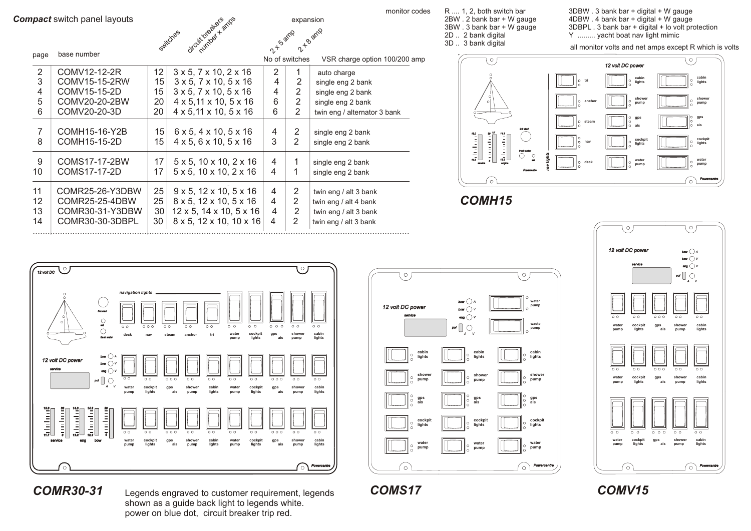



2 B arnp

expansion

Sarnp

| page                 | base number                                                             |                      |                                                                                                                                                      |                  |                  |                                                                                                  |
|----------------------|-------------------------------------------------------------------------|----------------------|------------------------------------------------------------------------------------------------------------------------------------------------------|------------------|------------------|--------------------------------------------------------------------------------------------------|
|                      |                                                                         |                      |                                                                                                                                                      | No of switches   |                  | VSR charge option 100/200 amp                                                                    |
| 2                    | COMV12-12-2R                                                            | 12                   | $3 \times 5$ , $7 \times 10$ , $2 \times 16$                                                                                                         | 2                | 1                | auto charge                                                                                      |
| 3                    | COMV15-15-2RW                                                           | 15                   | $3 \times 5$ , $7 \times 10$ , $5 \times 16$                                                                                                         | 4                | 2                | single eng 2 bank                                                                                |
| 4                    | COMV15-15-2D                                                            | 15                   | $3 \times 5$ , $7 \times 10$ , $5 \times 16$                                                                                                         | 4                | 2                | single eng 2 bank                                                                                |
| 5                    | COMV20-20-2BW                                                           | 20                   | $4 \times 5,11 \times 10,5 \times 16$                                                                                                                | 6                | 2                | single eng 2 bank                                                                                |
| 6                    | COMV20-20-3D                                                            | 20                   | $4 \times 5,11 \times 10,5 \times 16$                                                                                                                | 6                | $\overline{2}$   | twin eng / alternator 3 bank                                                                     |
| 7<br>8               | COMH15-16-Y2B<br>COMH15-15-2D                                           | 15<br>15             | $6 \times 5$ , $4 \times 10$ , $5 \times 16$<br>$4 \times 5$ , 6 $\times$ 10, 5 $\times$ 16                                                          | 4<br>3           | 2<br>2           | single eng 2 bank<br>single eng 2 bank                                                           |
| 9<br>10              | COMS17-17-2BW<br>COMS17-17-2D                                           | 17<br>17             | $5 \times 5$ , $10 \times 10$ , $2 \times 16$<br>$5 \times 5$ , $10 \times 10$ , $2 \times 16$                                                       | 4<br>4           | 1<br>1           | single eng 2 bank<br>single eng 2 bank                                                           |
| 11<br>12<br>13<br>14 | COMR25-26-Y3DBW<br>COMR25-25-4DBW<br>COMR30-31-Y3DBW<br>COMR30-30-3DBPL | 25<br>25<br>30<br>30 | $9 \times 5$ , $12 \times 10$ , $5 \times 16$<br>8 x 5, 12 x 10, 5 x 16<br>$12 \times 5$ , $14 \times 10$ , $5 \times 16$<br>8 x 5, 12 x 10, 10 x 16 | 4<br>4<br>4<br>4 | 2<br>2<br>2<br>2 | twin eng / alt 3 bank<br>twin eng / alt 4 bank<br>twin eng / alt 3 bank<br>twin eng / alt 3 bank |

........................................................................................................................................................

R .... 1, 2, both switch bar 2BW . 2 bank bar + W gauge 3BW . 3 bank bar + W gauge 2D .. 2 bank digital

3D .. 3 bank digital

monitor codes R .... 1, 2, both switch bar 3DBW . 3 bank bar + digital + W gauge 4DBW . 4 bank bar + digital + W gauge 3DBPL . 3 bank bar + digital + lo volt protection Y .......... yacht boat nav light mimic

all monitor volts and net amps except R which is volts



*COMH15*







#### *COMR30-31*

Legends engraved to customer requirement, legends shown as a guide back light to legends white. power on blue dot, circuit breaker trip red.

#### *COMS17 COMV15*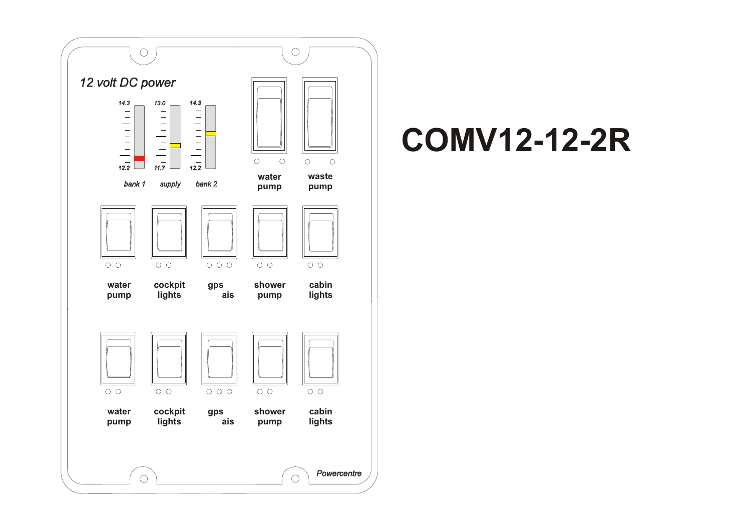

#### **COMV12-12-2R**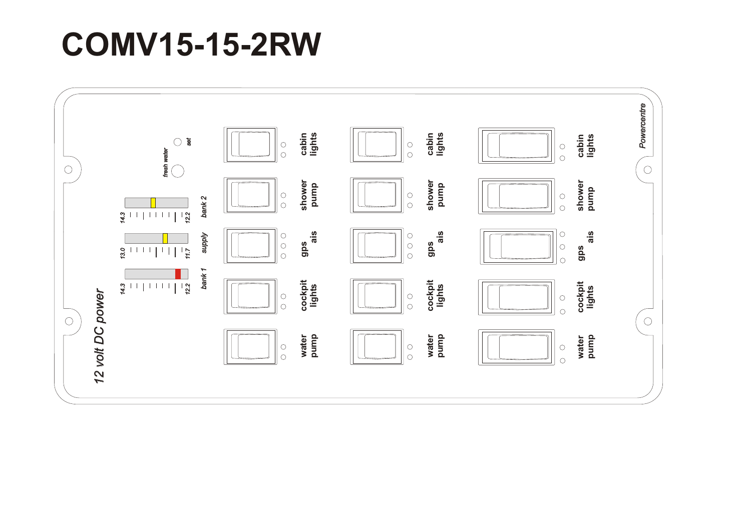# **COMV15-15-2RW**

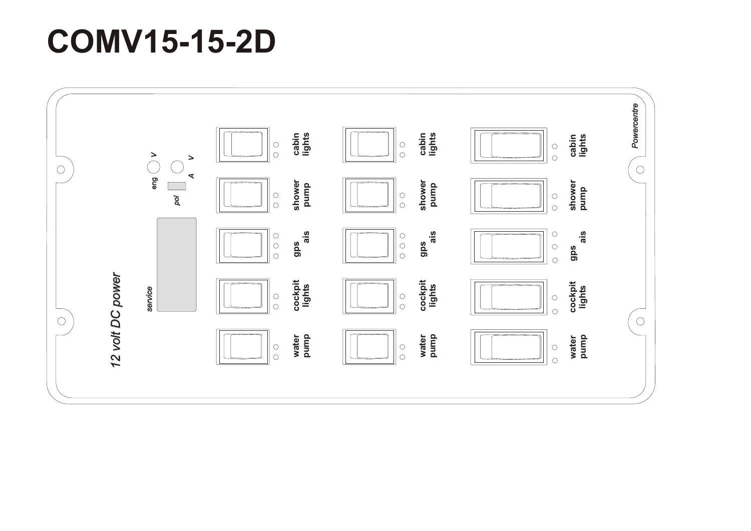## **COMV15-15-2D**

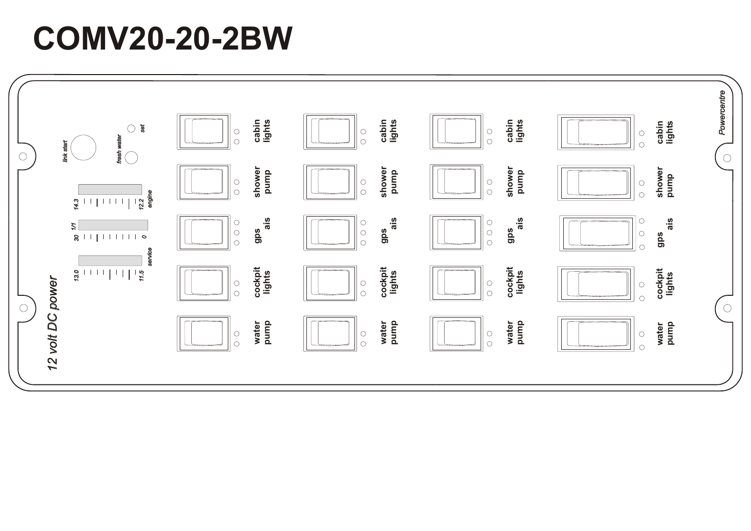# **COMV20-20-2BW**

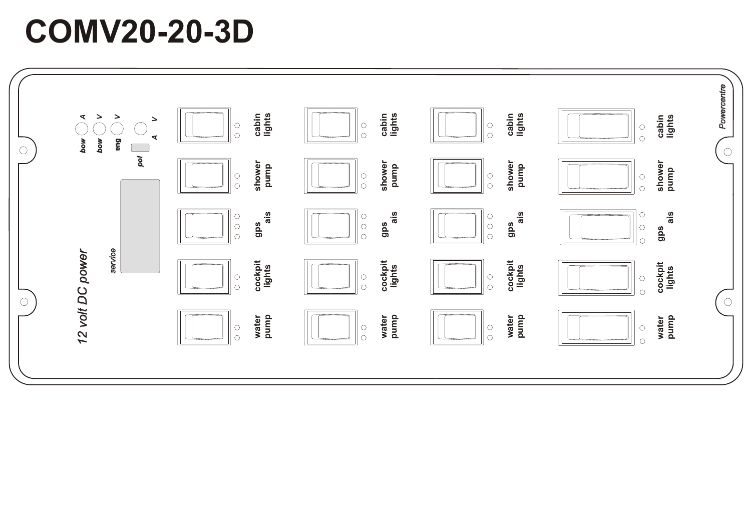### **COMV20-20-3D**

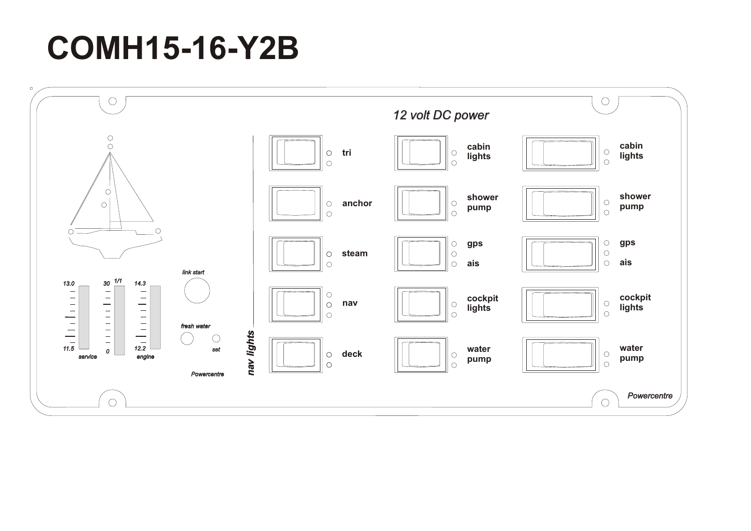## **COMH15-16-Y2B**

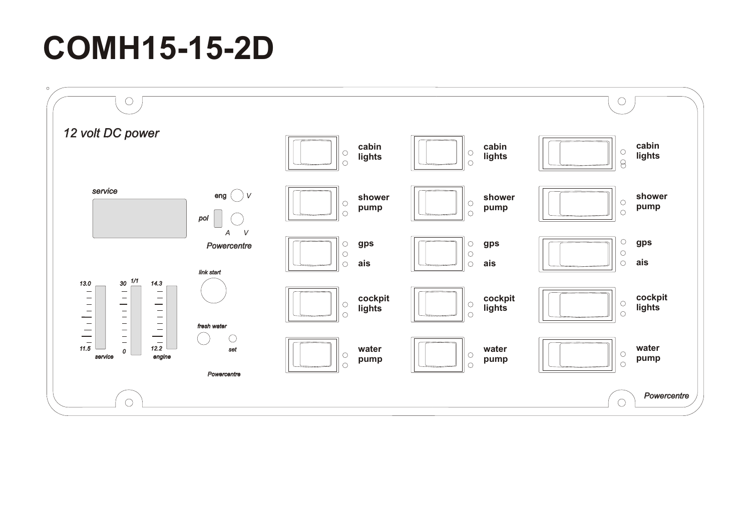# **COMH15-15-2D**

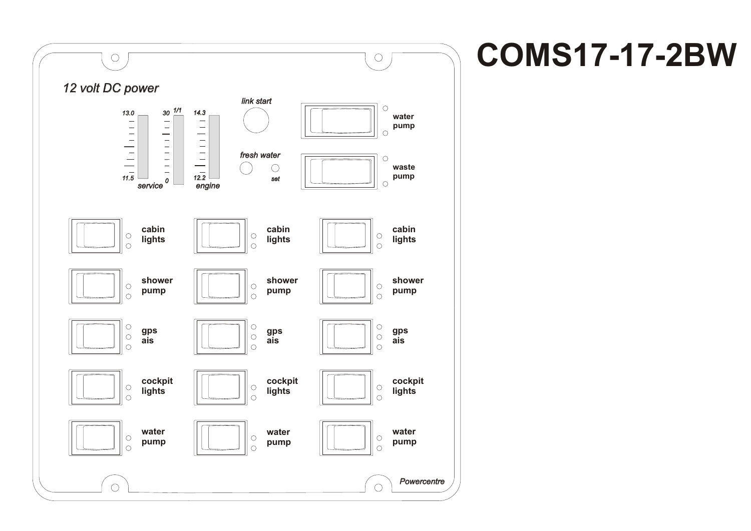

### **COMS17-17-2BW**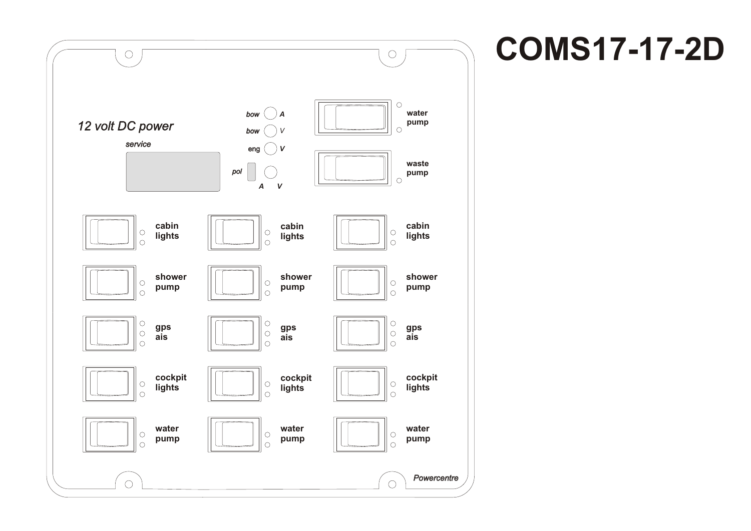

# **COMS17-17-2D**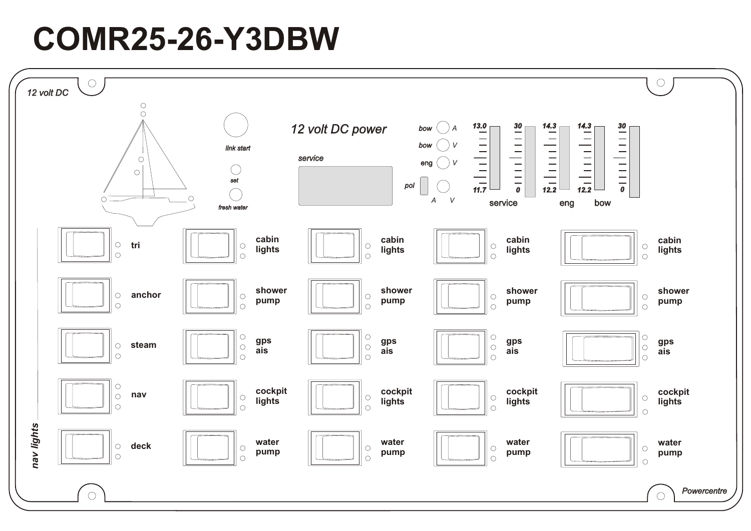## **COMR25-26-Y3DBW**

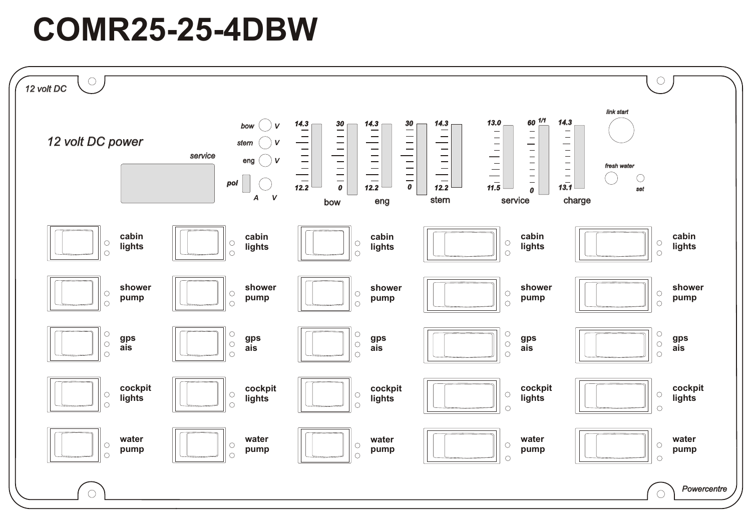### **COMR25-25-4DBW**

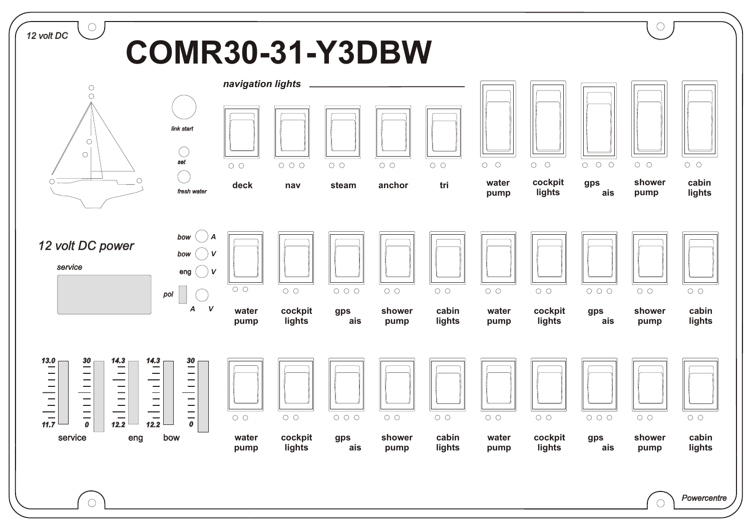